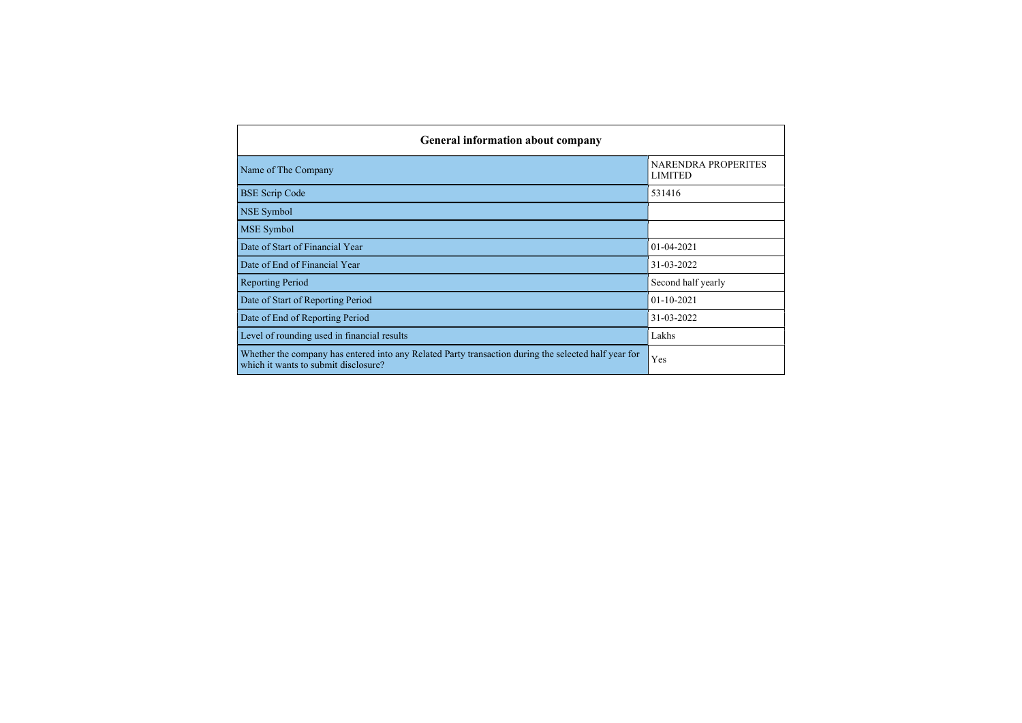| <b>General information about company</b>                                                                                                     |                                       |  |  |  |  |  |  |  |
|----------------------------------------------------------------------------------------------------------------------------------------------|---------------------------------------|--|--|--|--|--|--|--|
| Name of The Company                                                                                                                          | NARENDRA PROPERITES<br><b>LIMITED</b> |  |  |  |  |  |  |  |
| <b>BSE Scrip Code</b>                                                                                                                        | 531416                                |  |  |  |  |  |  |  |
| NSE Symbol                                                                                                                                   |                                       |  |  |  |  |  |  |  |
| <b>MSE</b> Symbol                                                                                                                            |                                       |  |  |  |  |  |  |  |
| Date of Start of Financial Year                                                                                                              | $01 - 04 - 2021$                      |  |  |  |  |  |  |  |
| Date of End of Financial Year                                                                                                                | 31-03-2022                            |  |  |  |  |  |  |  |
| <b>Reporting Period</b>                                                                                                                      | Second half yearly                    |  |  |  |  |  |  |  |
| Date of Start of Reporting Period                                                                                                            | $01 - 10 - 2021$                      |  |  |  |  |  |  |  |
| Date of End of Reporting Period                                                                                                              | 31-03-2022                            |  |  |  |  |  |  |  |
| Level of rounding used in financial results                                                                                                  | Lakhs                                 |  |  |  |  |  |  |  |
| Whether the company has entered into any Related Party transaction during the selected half year for<br>which it wants to submit disclosure? | Yes                                   |  |  |  |  |  |  |  |

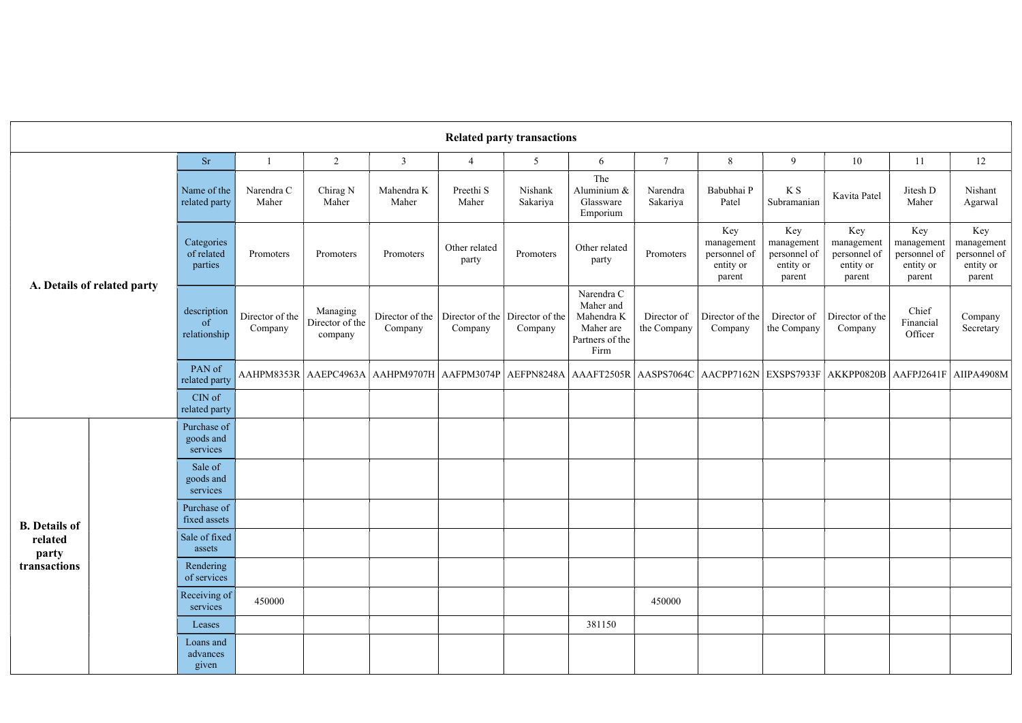| <b>Related party transactions</b>                        |                                              |                                      |                                        |                            |                                                                                                                                                           |                                            |                                                                               |                            |                                                          |                                                          |                                                          |                                                          |                                                          |    |
|----------------------------------------------------------|----------------------------------------------|--------------------------------------|----------------------------------------|----------------------------|-----------------------------------------------------------------------------------------------------------------------------------------------------------|--------------------------------------------|-------------------------------------------------------------------------------|----------------------------|----------------------------------------------------------|----------------------------------------------------------|----------------------------------------------------------|----------------------------------------------------------|----------------------------------------------------------|----|
|                                                          |                                              | <b>Sr</b>                            |                                        | 2                          | $\overline{3}$                                                                                                                                            | $\overline{4}$                             | 5                                                                             | 6                          | $\overline{7}$                                           | 8                                                        | 9                                                        | 10                                                       | 11                                                       | 12 |
| A. Details of related party                              | Name of the<br>related party                 | Narendra C<br>Maher                  | Chirag N<br>Maher                      | Mahendra K<br>Maher        | Preethi S<br>Maher                                                                                                                                        | Nishank<br>Sakariya                        | The<br>Aluminium &<br>Glassware<br>Emporium                                   | Narendra<br>Sakariya       | Babubhai P<br>Patel                                      | K S<br>Subramanian                                       | Kavita Patel                                             | Jitesh D<br>Maher                                        | Nishant<br>Agarwal                                       |    |
|                                                          | Categories<br>of related<br>parties          | Promoters                            | Promoters                              | Promoters                  | Other related<br>party                                                                                                                                    | Promoters                                  | Other related<br>party                                                        | Promoters                  | Key<br>management<br>personnel of<br>entity or<br>parent | Key<br>management<br>personnel of<br>entity or<br>parent | Key<br>management<br>personnel of<br>entity or<br>parent | Key<br>management<br>personnel of<br>entity or<br>parent | Key<br>management<br>personnel of<br>entity or<br>parent |    |
|                                                          | description<br><sub>of</sub><br>relationship | Director of the<br>Company           | Managing<br>Director of the<br>company | Director of the<br>Company | Company                                                                                                                                                   | Director of the Director of the<br>Company | Narendra C<br>Maher and<br>Mahendra K<br>Maher are<br>Partners of the<br>Firm | Director of<br>the Company | Director of the<br>Company                               | Director of<br>the Company                               | Director of the<br>Company                               | Chief<br>Financial<br>Officer                            | Company<br>Secretary                                     |    |
|                                                          |                                              | PAN of<br>related party              |                                        |                            | AAHPM8353R   AAEPC4963A   AAHPM9707H   AAFPM3074P   AEFPN8248A   AAAFT2505R   AASPS7064C   AACPP7162N   EXSPS7933F   AKKPP0820B   AAFPJ2641F   AIIPA4908M |                                            |                                                                               |                            |                                                          |                                                          |                                                          |                                                          |                                                          |    |
|                                                          |                                              | CIN of<br>related party              |                                        |                            |                                                                                                                                                           |                                            |                                                                               |                            |                                                          |                                                          |                                                          |                                                          |                                                          |    |
| <b>B.</b> Details of<br>related<br>party<br>transactions |                                              | Purchase of<br>goods and<br>services |                                        |                            |                                                                                                                                                           |                                            |                                                                               |                            |                                                          |                                                          |                                                          |                                                          |                                                          |    |
|                                                          |                                              | Sale of<br>goods and<br>services     |                                        |                            |                                                                                                                                                           |                                            |                                                                               |                            |                                                          |                                                          |                                                          |                                                          |                                                          |    |
|                                                          |                                              | Purchase of<br>fixed assets          |                                        |                            |                                                                                                                                                           |                                            |                                                                               |                            |                                                          |                                                          |                                                          |                                                          |                                                          |    |
|                                                          |                                              | Sale of fixed<br>assets              |                                        |                            |                                                                                                                                                           |                                            |                                                                               |                            |                                                          |                                                          |                                                          |                                                          |                                                          |    |
|                                                          |                                              | Rendering<br>of services             |                                        |                            |                                                                                                                                                           |                                            |                                                                               |                            |                                                          |                                                          |                                                          |                                                          |                                                          |    |
|                                                          |                                              | Receiving of<br>services             | 450000                                 |                            |                                                                                                                                                           |                                            |                                                                               |                            | 450000                                                   |                                                          |                                                          |                                                          |                                                          |    |
|                                                          |                                              | Leases                               |                                        |                            |                                                                                                                                                           |                                            |                                                                               | 381150                     |                                                          |                                                          |                                                          |                                                          |                                                          |    |
|                                                          |                                              | Loans and<br>advances<br>given       |                                        |                            |                                                                                                                                                           |                                            |                                                                               |                            |                                                          |                                                          |                                                          |                                                          |                                                          |    |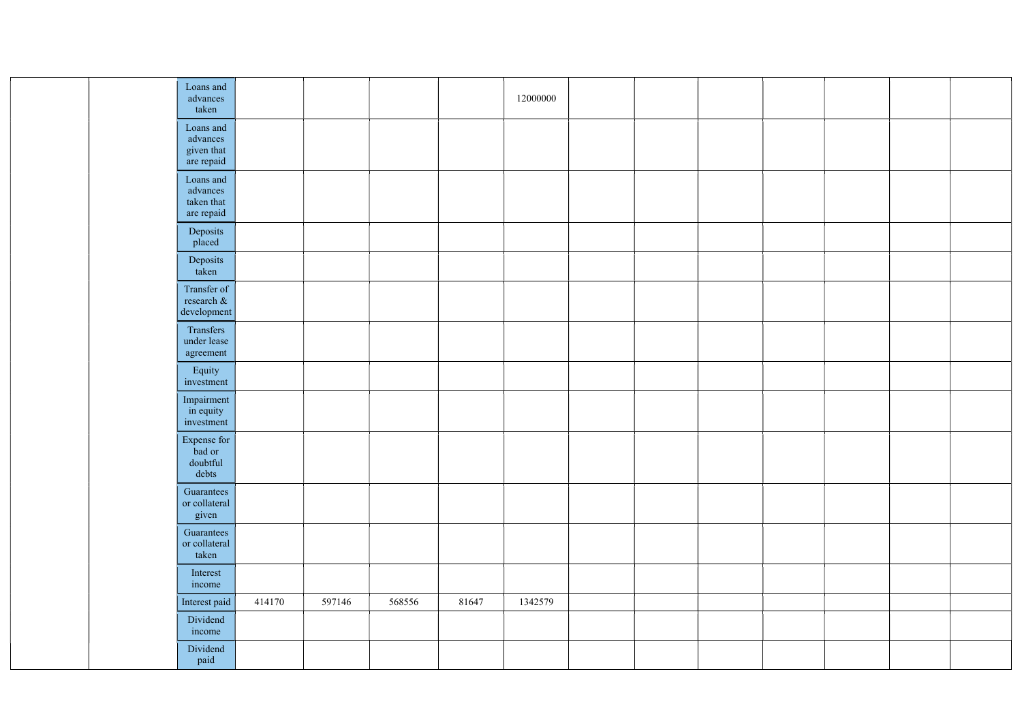|  | Loans and<br>advances<br>taken                    | 12000000                   |  |
|--|---------------------------------------------------|----------------------------|--|
|  | Loans and<br>advances<br>given that<br>are repaid |                            |  |
|  | Loans and<br>advances<br>taken that<br>are repaid |                            |  |
|  | Deposits<br>placed                                |                            |  |
|  | Deposits<br>taken                                 |                            |  |
|  | Transfer of<br>research &<br>development          |                            |  |
|  | Transfers<br>under lease<br>agreement             |                            |  |
|  | Equity<br>investment                              |                            |  |
|  | Impairment<br>in equity<br>investment             |                            |  |
|  | Expense for<br>bad or<br>doubtful<br>debts        |                            |  |
|  | Guarantees<br>or collateral<br>given              |                            |  |
|  | Guarantees<br>or collateral<br>taken              |                            |  |
|  | Interest<br>income                                |                            |  |
|  | Interest paid<br>414170<br>597146                 | 568556<br>81647<br>1342579 |  |
|  | Dividend<br>income                                |                            |  |
|  | Dividend<br>paid                                  |                            |  |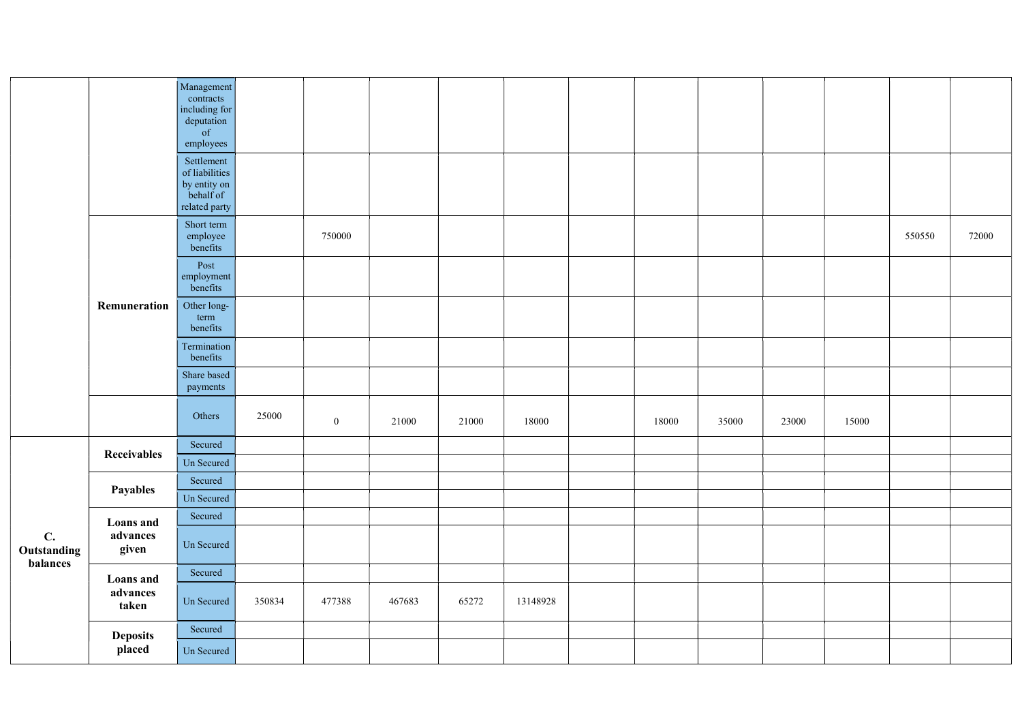|                                           |                              | Management<br>contracts<br>including for<br>deputation<br>of<br>employees  |        |              |        |       |          |       |       |       |       |        |       |
|-------------------------------------------|------------------------------|----------------------------------------------------------------------------|--------|--------------|--------|-------|----------|-------|-------|-------|-------|--------|-------|
|                                           |                              | Settlement<br>of liabilities<br>by entity on<br>behalf of<br>related party |        |              |        |       |          |       |       |       |       |        |       |
|                                           |                              | Short term<br>employee<br>benefits                                         |        | 750000       |        |       |          |       |       |       |       | 550550 | 72000 |
|                                           |                              | Post<br>employment<br>benefits                                             |        |              |        |       |          |       |       |       |       |        |       |
|                                           | Remuneration                 | Other long-<br>term<br>benefits                                            |        |              |        |       |          |       |       |       |       |        |       |
|                                           |                              | Termination<br>benefits                                                    |        |              |        |       |          |       |       |       |       |        |       |
|                                           |                              | Share based<br>payments                                                    |        |              |        |       |          |       |       |       |       |        |       |
|                                           |                              | Others                                                                     | 25000  | $\mathbf{0}$ | 21000  | 21000 | 18000    | 18000 | 35000 | 23000 | 15000 |        |       |
|                                           | Receivables                  | Secured                                                                    |        |              |        |       |          |       |       |       |       |        |       |
|                                           |                              | Un Secured                                                                 |        |              |        |       |          |       |       |       |       |        |       |
|                                           | <b>Payables</b>              | Secured                                                                    |        |              |        |       |          |       |       |       |       |        |       |
|                                           |                              | Un Secured                                                                 |        |              |        |       |          |       |       |       |       |        |       |
| $\mathbf{C}$ .<br>Outstanding<br>balances | <b>Loans</b> and<br>advances | Secured<br>Un Secured                                                      |        |              |        |       |          |       |       |       |       |        |       |
|                                           | given                        |                                                                            |        |              |        |       |          |       |       |       |       |        |       |
|                                           | <b>Loans</b> and             | Secured                                                                    |        |              |        |       |          |       |       |       |       |        |       |
|                                           | advances<br>taken            | Un Secured                                                                 | 350834 | 477388       | 467683 | 65272 | 13148928 |       |       |       |       |        |       |
|                                           | <b>Deposits</b>              | Secured                                                                    |        |              |        |       |          |       |       |       |       |        |       |
|                                           | placed                       | Un Secured                                                                 |        |              |        |       |          |       |       |       |       |        |       |